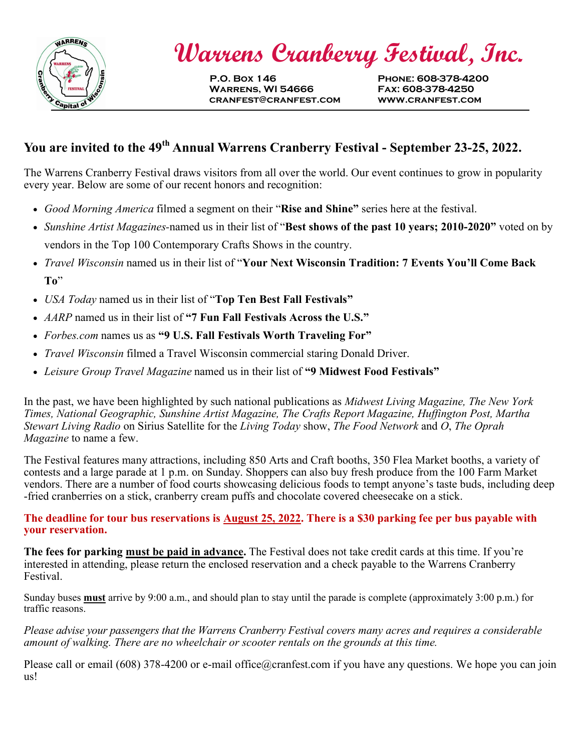

 **Warrens Cranberry Festival, Inc.**

**P.O. Box 146 Phone: 608-378-4200 Warrens, WI 54666 Fax: 608-378-4250 cranfest@cranfest.com www.cranfest.com**

## **You are invited to the 49th Annual Warrens Cranberry Festival - September 23-25, 2022.**

The Warrens Cranberry Festival draws visitors from all over the world. Our event continues to grow in popularity every year. Below are some of our recent honors and recognition:

- *Good Morning America* filmed a segment on their "**Rise and Shine"** series here at the festival.
- *Sunshine Artist Magazines-*named us in their list of "**Best shows of the past 10 years; 2010-2020"** voted on by vendors in the Top 100 Contemporary Crafts Shows in the country.
- *Travel Wisconsin* named us in their list of "**Your Next Wisconsin Tradition: 7 Events You'll Come Back To**"
- *USA Today* named us in their list of "**Top Ten Best Fall Festivals"**
- *AARP* named us in their list of **"7 Fun Fall Festivals Across the U.S."**
- *Forbes.com* names us as **"9 U.S. Fall Festivals Worth Traveling For"**
- *Travel Wisconsin* filmed a Travel Wisconsin commercial staring Donald Driver.
- *Leisure Group Travel Magazine* named us in their list of **"9 Midwest Food Festivals"**

In the past, we have been highlighted by such national publications as *Midwest Living Magazine, The New York Times, National Geographic, Sunshine Artist Magazine, The Crafts Report Magazine, Huffington Post, Martha Stewart Living Radio* on Sirius Satellite for the *Living Today* show, *The Food Network* and *O*, *The Oprah Magazine* to name a few.

The Festival features many attractions, including 850 Arts and Craft booths, 350 Flea Market booths, a variety of contests and a large parade at 1 p.m. on Sunday. Shoppers can also buy fresh produce from the 100 Farm Market vendors. There are a number of food courts showcasing delicious foods to tempt anyone's taste buds, including deep -fried cranberries on a stick, cranberry cream puffs and chocolate covered cheesecake on a stick.

## **The deadline for tour bus reservations is August 25, 2022. There is a \$30 parking fee per bus payable with your reservation.**

**The fees for parking must be paid in advance.** The Festival does not take credit cards at this time. If you're interested in attending, please return the enclosed reservation and a check payable to the Warrens Cranberry Festival.

Sunday buses **must** arrive by 9:00 a.m., and should plan to stay until the parade is complete (approximately 3:00 p.m.) for traffic reasons.

*Please advise your passengers that the Warrens Cranberry Festival covers many acres and requires a considerable amount of walking. There are no wheelchair or scooter rentals on the grounds at this time.*

Please call or email (608) 378-4200 or e-mail office@cranfest.com if you have any questions. We hope you can join us!